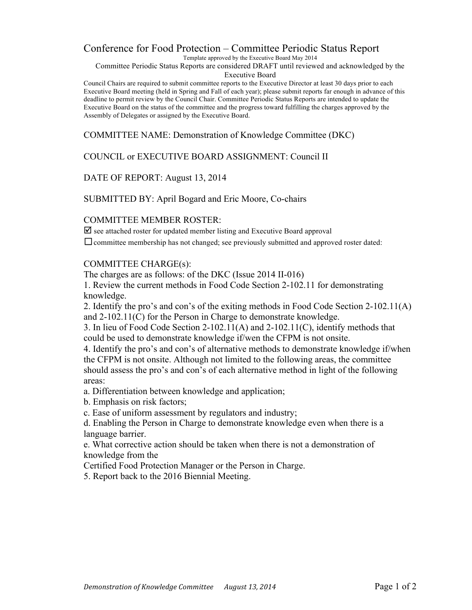## Conference for Food Protection – Committee Periodic Status Report

Template approved by the Executive Board May 2014

Committee Periodic Status Reports are considered DRAFT until reviewed and acknowledged by the Executive Board

Council Chairs are required to submit committee reports to the Executive Director at least 30 days prior to each Executive Board meeting (held in Spring and Fall of each year); please submit reports far enough in advance of this deadline to permit review by the Council Chair. Committee Periodic Status Reports are intended to update the Executive Board on the status of the committee and the progress toward fulfilling the charges approved by the Assembly of Delegates or assigned by the Executive Board.

COMMITTEE NAME: Demonstration of Knowledge Committee (DKC)

COUNCIL or EXECUTIVE BOARD ASSIGNMENT: Council II

### DATE OF REPORT: August 13, 2014

SUBMITTED BY: April Bogard and Eric Moore, Co-chairs

### COMMITTEE MEMBER ROSTER:

 $\overline{\mathbf{p}}$  see attached roster for updated member listing and Executive Board approval

 $\Box$  committee membership has not changed; see previously submitted and approved roster dated:

#### COMMITTEE CHARGE(s):

The charges are as follows: of the DKC (Issue 2014 II-016)

1. Review the current methods in Food Code Section 2-102.11 for demonstrating knowledge.

2. Identify the pro's and con's of the exiting methods in Food Code Section 2-102.11(A) and 2-102.11(C) for the Person in Charge to demonstrate knowledge.

3. In lieu of Food Code Section 2-102.11(A) and 2-102.11(C), identify methods that could be used to demonstrate knowledge if/wen the CFPM is not onsite.

4. Identify the pro's and con's of alternative methods to demonstrate knowledge if/when the CFPM is not onsite. Although not limited to the following areas, the committee should assess the pro's and con's of each alternative method in light of the following areas:

a. Differentiation between knowledge and application;

b. Emphasis on risk factors;

c. Ease of uniform assessment by regulators and industry;

d. Enabling the Person in Charge to demonstrate knowledge even when there is a language barrier.

e. What corrective action should be taken when there is not a demonstration of knowledge from the

Certified Food Protection Manager or the Person in Charge.

5. Report back to the 2016 Biennial Meeting.